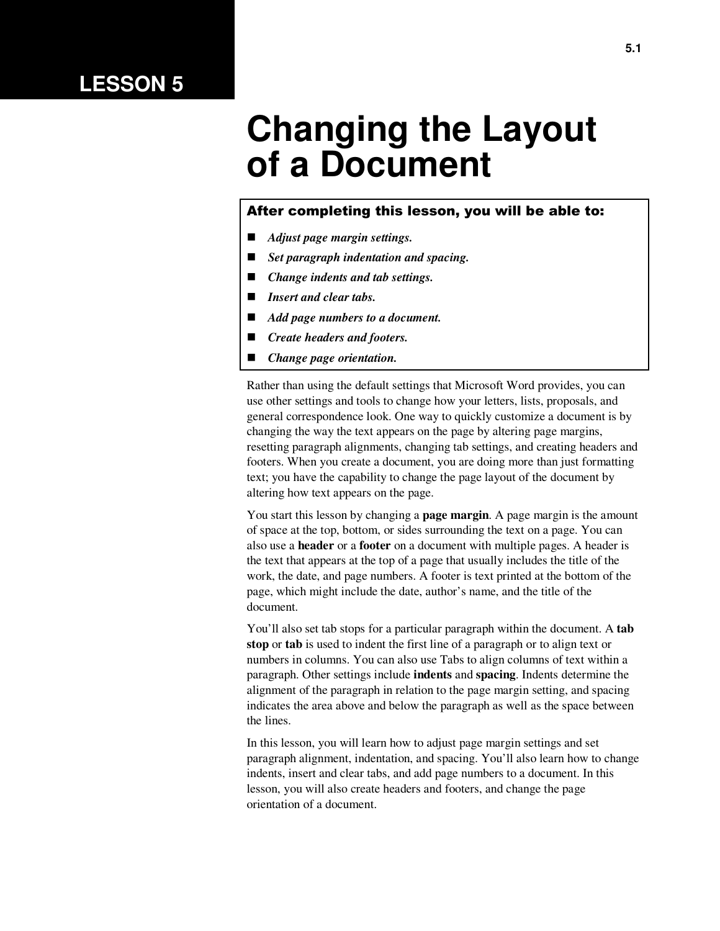# **LESSON 5**

# **Changing the Layout of a Document**

#### After completing this lesson, you will be able to:

- *Adjust page margin settings.*
- *Set paragraph indentation and spacing.*
- *Change indents and tab settings.*
- *Insert and clear tabs.*
- *Add page numbers to a document.*
- *Create headers and footers.*
- *Change page orientation.*

Rather than using the default settings that Microsoft Word provides, you can use other settings and tools to change how your letters, lists, proposals, and general correspondence look. One way to quickly customize a document is by changing the way the text appears on the page by altering page margins, resetting paragraph alignments, changing tab settings, and creating headers and footers. When you create a document, you are doing more than just formatting text; you have the capability to change the page layout of the document by altering how text appears on the page.

You start this lesson by changing a **page margin**. A page margin is the amount of space at the top, bottom, or sides surrounding the text on a page. You can also use a **header** or a **footer** on a document with multiple pages. A header is the text that appears at the top of a page that usually includes the title of the work, the date, and page numbers. A footer is text printed at the bottom of the page, which might include the date, author's name, and the title of the document.

You'll also set tab stops for a particular paragraph within the document. A **tab stop** or **tab** is used to indent the first line of a paragraph or to align text or numbers in columns. You can also use Tabs to align columns of text within a paragraph. Other settings include **indents** and **spacing**. Indents determine the alignment of the paragraph in relation to the page margin setting, and spacing indicates the area above and below the paragraph as well as the space between the lines.

In this lesson, you will learn how to adjust page margin settings and set paragraph alignment, indentation, and spacing. You'll also learn how to change indents, insert and clear tabs, and add page numbers to a document. In this lesson, you will also create headers and footers, and change the page orientation of a document.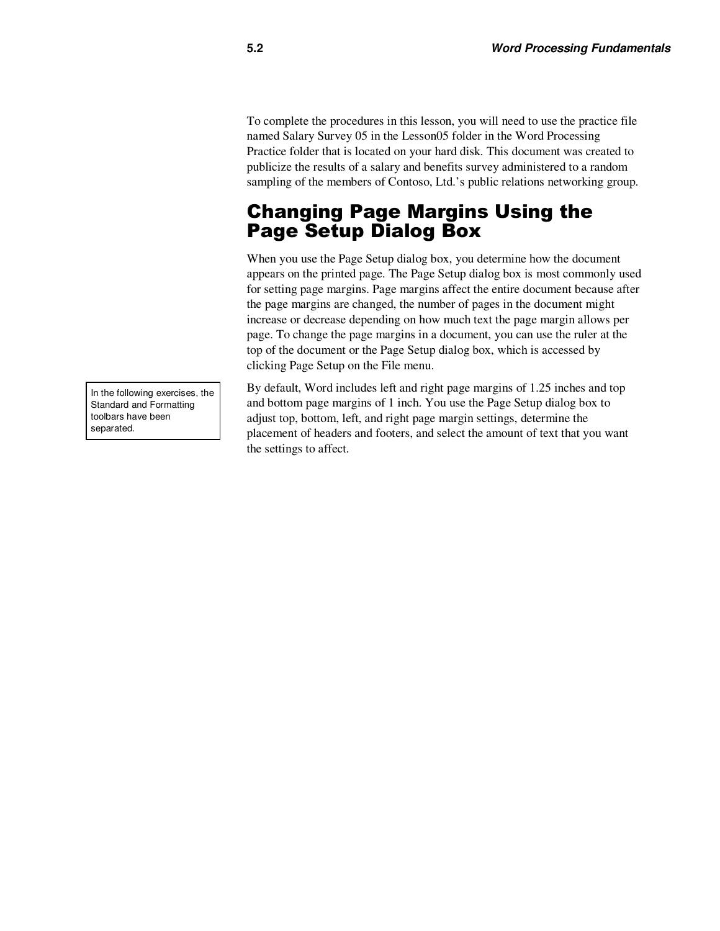To complete the procedures in this lesson, you will need to use the practice file named Salary Survey 05 in the Lesson05 folder in the Word Processing Practice folder that is located on your hard disk. This document was created to publicize the results of a salary and benefits survey administered to a random sampling of the members of Contoso, Ltd.'s public relations networking group.

### Changing Page Margins Using the Page Setup Dialog Box

When you use the Page Setup dialog box, you determine how the document appears on the printed page. The Page Setup dialog box is most commonly used for setting page margins. Page margins affect the entire document because after the page margins are changed, the number of pages in the document might increase or decrease depending on how much text the page margin allows per page. To change the page margins in a document, you can use the ruler at the top of the document or the Page Setup dialog box, which is accessed by clicking Page Setup on the File menu.

By default, Word includes left and right page margins of 1.25 inches and top and bottom page margins of 1 inch. You use the Page Setup dialog box to adjust top, bottom, left, and right page margin settings, determine the placement of headers and footers, and select the amount of text that you want the settings to affect.

In the following exercises, the Standard and Formatting toolbars have been separated.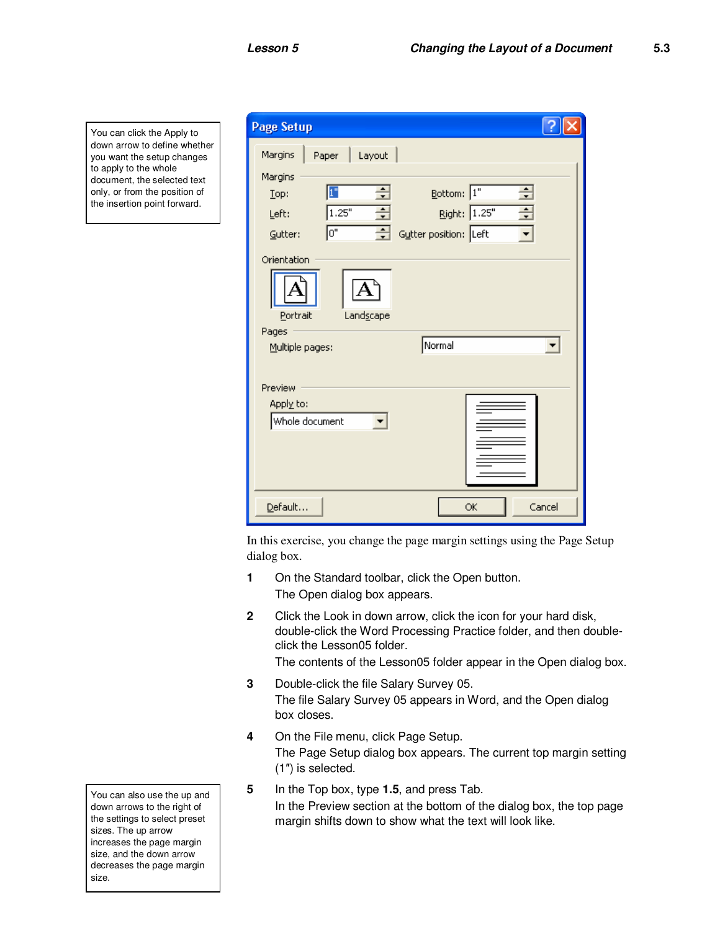You can click the Apply to down arrow to define whether you want the setup changes to apply to the whole document, the selected text only, or from the position of the insertion point forward.

| <b>Page Setup</b>                                                                                 |        |
|---------------------------------------------------------------------------------------------------|--------|
| Margins<br>Paper   Layout                                                                         |        |
| Margins<br>$\div$<br>$\div$<br>1"<br>Bottom: $1"$<br>Top:                                         |        |
| $\div$<br>Right: 1.25"<br>$\div$<br>1.25"<br>Left:<br>싉<br>o"<br>Gutter position: Left<br>Gutter: |        |
| Orientation<br>Portrait<br>Landscape                                                              |        |
| Pages<br>Normal<br>Multiple pages:                                                                |        |
| Preview                                                                                           |        |
| Apply to:                                                                                         |        |
| Whole document                                                                                    |        |
|                                                                                                   |        |
| Default<br>ОK                                                                                     | Cancel |

In this exercise, you change the page margin settings using the Page Setup dialog box.

- **1** On the Standard toolbar, click the Open button. The Open dialog box appears.
- **2** Click the Look in down arrow, click the icon for your hard disk, double-click the Word Processing Practice folder, and then doubleclick the Lesson05 folder.

The contents of the Lesson05 folder appear in the Open dialog box.

- **3** Double-click the file Salary Survey 05. The file Salary Survey 05 appears in Word, and the Open dialog box closes.
- **4** On the File menu, click Page Setup. The Page Setup dialog box appears. The current top margin setting (1″) is selected.
- **5** In the Top box, type **1.5**, and press Tab. In the Preview section at the bottom of the dialog box, the top page margin shifts down to show what the text will look like.

You can also use the up and down arrows to the right of the settings to select preset sizes. The up arrow increases the page margin size, and the down arrow decreases the page margin size.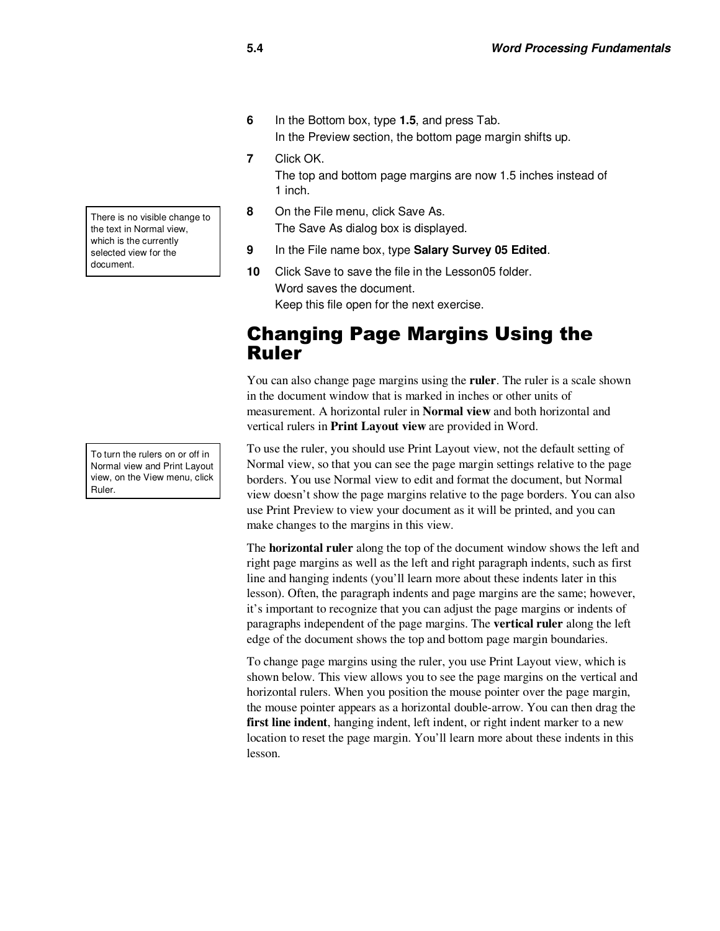- **6** In the Bottom box, type **1.5**, and press Tab. In the Preview section, the bottom page margin shifts up.
- **7** Click OK. The top and bottom page margins are now 1.5 inches instead of 1 inch.
- **8** On the File menu, click Save As. The Save As dialog box is displayed.
- **9** In the File name box, type **Salary Survey 05 Edited**.
- **10** Click Save to save the file in the Lesson05 folder. Word saves the document. Keep this file open for the next exercise.

### Changing Page Margins Using the Ruler

You can also change page margins using the **ruler**. The ruler is a scale shown in the document window that is marked in inches or other units of measurement. A horizontal ruler in **Normal view** and both horizontal and vertical rulers in **Print Layout view** are provided in Word.

To use the ruler, you should use Print Layout view, not the default setting of Normal view, so that you can see the page margin settings relative to the page borders. You use Normal view to edit and format the document, but Normal view doesn't show the page margins relative to the page borders. You can also use Print Preview to view your document as it will be printed, and you can make changes to the margins in this view.

The **horizontal ruler** along the top of the document window shows the left and right page margins as well as the left and right paragraph indents, such as first line and hanging indents (you'll learn more about these indents later in this lesson). Often, the paragraph indents and page margins are the same; however, it's important to recognize that you can adjust the page margins or indents of paragraphs independent of the page margins. The **vertical ruler** along the left edge of the document shows the top and bottom page margin boundaries.

To change page margins using the ruler, you use Print Layout view, which is shown below. This view allows you to see the page margins on the vertical and horizontal rulers. When you position the mouse pointer over the page margin, the mouse pointer appears as a horizontal double-arrow. You can then drag the **first line indent**, hanging indent, left indent, or right indent marker to a new location to reset the page margin. You'll learn more about these indents in this lesson.

There is no visible change to the text in Normal view, which is the currently selected view for the document.

To turn the rulers on or off in Normal view and Print Layout view, on the View menu, click Ruler.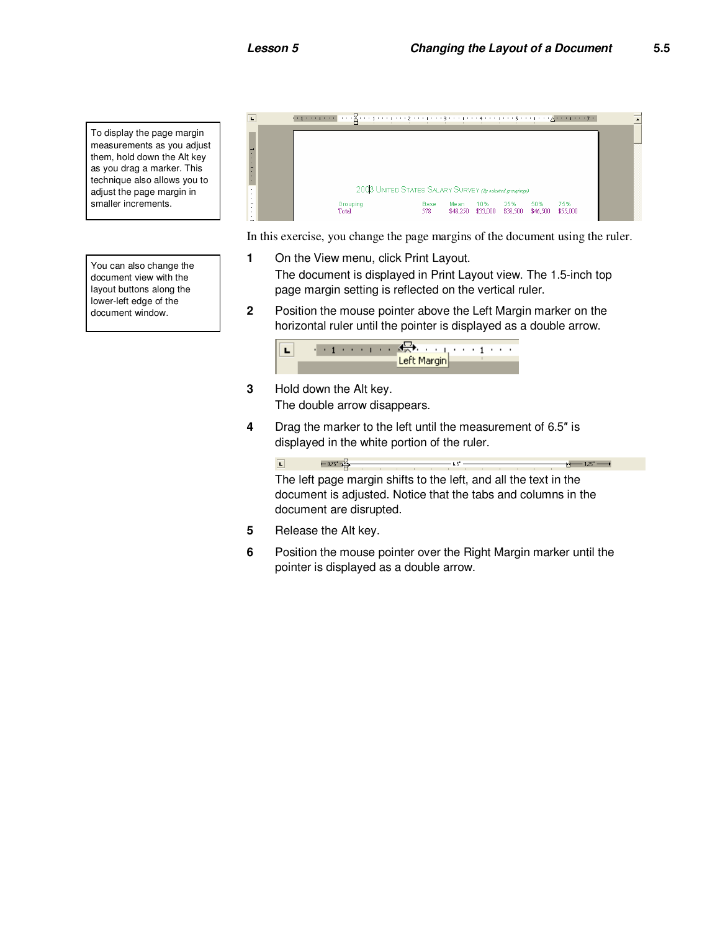To display the page margin measurements as you adjust them, hold down the Alt key as you drag a marker. This technique also allows you to adjust the page margin in smaller increments.

You can also change the document view with the layout buttons along the lower-left edge of the document window.

| ц |  |                                                          |      |          |          |          |          |          |  |
|---|--|----------------------------------------------------------|------|----------|----------|----------|----------|----------|--|
|   |  |                                                          |      |          |          |          |          |          |  |
|   |  |                                                          |      |          |          |          |          |          |  |
|   |  |                                                          |      |          |          |          |          |          |  |
|   |  |                                                          |      |          |          |          |          |          |  |
|   |  |                                                          |      |          |          |          |          |          |  |
|   |  |                                                          |      |          |          |          |          |          |  |
|   |  |                                                          |      |          |          |          |          |          |  |
|   |  |                                                          |      |          |          |          |          |          |  |
|   |  | 2003 UNITED STATES SALARY SURVEY (By selected groupings) |      |          |          |          |          |          |  |
|   |  |                                                          |      |          |          |          |          |          |  |
|   |  | Grouping                                                 | Base | Mean     | 10% 25%  |          | 50%      | 75%      |  |
|   |  | Total                                                    | 578  | \$48,250 | \$33,000 | \$38,500 | \$46,500 | \$55,000 |  |
|   |  |                                                          |      |          |          |          |          |          |  |
|   |  |                                                          |      |          |          |          |          |          |  |

In this exercise, you change the page margins of the document using the ruler.

- **1** On the View menu, click Print Layout. The document is displayed in Print Layout view. The 1.5-inch top page margin setting is reflected on the vertical ruler.
- **2** Position the mouse pointer above the Left Margin marker on the horizontal ruler until the pointer is displayed as a double arrow.

|  |  |  |  |  | $\lambda$ is a property of $\mathbb{R}^{n}$ is a property of the $\lambda$ |  |  |  |
|--|--|--|--|--|----------------------------------------------------------------------------|--|--|--|
|  |  |  |  |  | Left Margin                                                                |  |  |  |

- **3** Hold down the Alt key. The double arrow disappears.
- **4** Drag the marker to the left until the measurement of 6.5″ is displayed in the white portion of the ruler.

 $+ 0.75" - \frac{5}{17}$  $\overrightarrow{13}$   $-1.25$ " The left page margin shifts to the left, and all the text in the document is adjusted. Notice that the tabs and columns in the document are disrupted.

 $-6.5^{\circ} -$ 

**5** Release the Alt key.

 $\Box$ 

**6** Position the mouse pointer over the Right Margin marker until the pointer is displayed as a double arrow.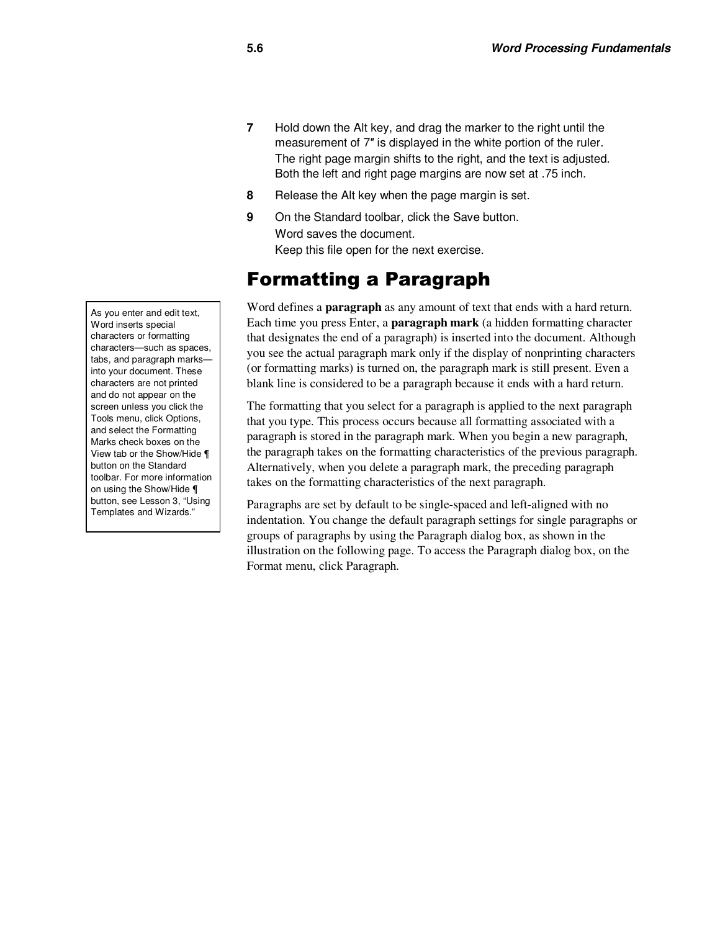- **7** Hold down the Alt key, and drag the marker to the right until the measurement of 7″ is displayed in the white portion of the ruler. The right page margin shifts to the right, and the text is adjusted. Both the left and right page margins are now set at .75 inch.
- **8** Release the Alt key when the page margin is set.
- **9** On the Standard toolbar, click the Save button. Word saves the document. Keep this file open for the next exercise.

# Formatting a Paragraph

Word defines a **paragraph** as any amount of text that ends with a hard return. Each time you press Enter, a **paragraph mark** (a hidden formatting character that designates the end of a paragraph) is inserted into the document. Although you see the actual paragraph mark only if the display of nonprinting characters (or formatting marks) is turned on, the paragraph mark is still present. Even a blank line is considered to be a paragraph because it ends with a hard return.

The formatting that you select for a paragraph is applied to the next paragraph that you type. This process occurs because all formatting associated with a paragraph is stored in the paragraph mark. When you begin a new paragraph, the paragraph takes on the formatting characteristics of the previous paragraph. Alternatively, when you delete a paragraph mark, the preceding paragraph takes on the formatting characteristics of the next paragraph.

Paragraphs are set by default to be single-spaced and left-aligned with no indentation. You change the default paragraph settings for single paragraphs or groups of paragraphs by using the Paragraph dialog box, as shown in the illustration on the following page. To access the Paragraph dialog box, on the Format menu, click Paragraph.

As you enter and edit text, Word inserts special characters or formatting characters—such as spaces, tabs, and paragraph marks into your document. These characters are not printed and do not appear on the screen unless you click the Tools menu, click Options, and select the Formatting Marks check boxes on the View tab or the Show/Hide ¶ button on the Standard toolbar. For more information on using the Show/Hide ¶ button, see Lesson 3, "Using Templates and Wizards."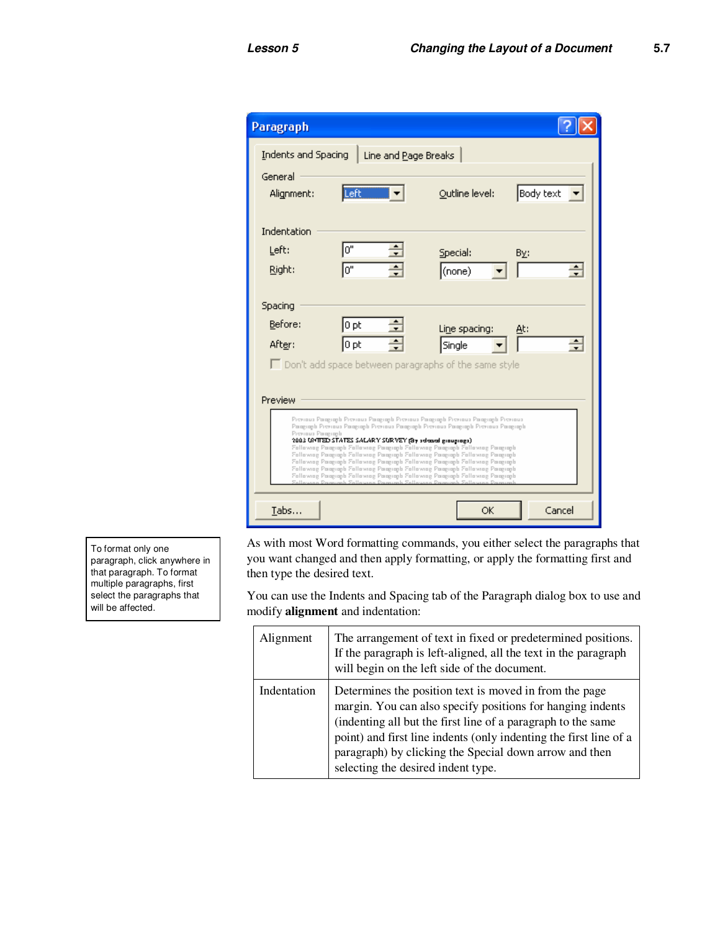| <b>Paragraph</b>              |                                                                                                                                                                                                                                                                                                                                                                                                                                                                                                                                                                                                                                                    |                |           |
|-------------------------------|----------------------------------------------------------------------------------------------------------------------------------------------------------------------------------------------------------------------------------------------------------------------------------------------------------------------------------------------------------------------------------------------------------------------------------------------------------------------------------------------------------------------------------------------------------------------------------------------------------------------------------------------------|----------------|-----------|
| Indents and Spacing           | Line and Page Breaks                                                                                                                                                                                                                                                                                                                                                                                                                                                                                                                                                                                                                               |                |           |
| General<br>Alignment:         | .eft                                                                                                                                                                                                                                                                                                                                                                                                                                                                                                                                                                                                                                               | Outline level: | Body text |
| Indentation                   |                                                                                                                                                                                                                                                                                                                                                                                                                                                                                                                                                                                                                                                    |                |           |
| Left:                         | Ū.                                                                                                                                                                                                                                                                                                                                                                                                                                                                                                                                                                                                                                                 | Special:       | By:       |
| Right:                        | U <sub>n</sub>                                                                                                                                                                                                                                                                                                                                                                                                                                                                                                                                                                                                                                     | (none)         | ≛         |
| Spacing                       |                                                                                                                                                                                                                                                                                                                                                                                                                                                                                                                                                                                                                                                    |                |           |
| Before:                       | 0 pt                                                                                                                                                                                                                                                                                                                                                                                                                                                                                                                                                                                                                                               | Line spacing:  | At:       |
| After:                        | 10 pt                                                                                                                                                                                                                                                                                                                                                                                                                                                                                                                                                                                                                                              | Single         | ÷         |
|                               | Don't add space between paragraphs of the same style                                                                                                                                                                                                                                                                                                                                                                                                                                                                                                                                                                                               |                |           |
| Preview<br>Previous Porograph | Previous Palagraph Previous Palagraph Previous Palagraph Previous Palagraph Previous<br>Paagiaph Picviaus Paagiaph Picviaus Paagiaph Picviaus Paagiaph Picviaus Paagiaph<br>(cganguage states SALARY SURVEY (87 selected groupings)<br>Following Pangingh Following Pangingh Following Pangingh Following Pangingh<br>Following Pangingh Following Pangingh Following Pangingh Following Pangingh<br>Following Pasgraph Following Pasgraph Following Pasgraph Following Pasgraph<br>Following Pangingh Following Pangingh Following Pangingh Following Pangingh<br>Following Paisgioph Following Paisgioph Following Paisgioph Following Paisgioph |                |           |
| Tabs                          |                                                                                                                                                                                                                                                                                                                                                                                                                                                                                                                                                                                                                                                    | OK             | Cancel    |

As with most Word formatting commands, you either select the paragraphs that you want changed and then apply formatting, or apply the formatting first and then type the desired text.

You can use the Indents and Spacing tab of the Paragraph dialog box to use and modify **alignment** and indentation:

| Alignment   | The arrangement of text in fixed or predetermined positions.<br>If the paragraph is left-aligned, all the text in the paragraph<br>will begin on the left side of the document.                                                                                                                                                                           |
|-------------|-----------------------------------------------------------------------------------------------------------------------------------------------------------------------------------------------------------------------------------------------------------------------------------------------------------------------------------------------------------|
| Indentation | Determines the position text is moved in from the page<br>margin. You can also specify positions for hanging indents<br>(indenting all but the first line of a paragraph to the same<br>point) and first line indents (only indenting the first line of a<br>paragraph) by clicking the Special down arrow and then<br>selecting the desired indent type. |

To format only one paragraph, click anywhere in that paragraph. To format multiple paragraphs, first select the paragraphs that will be affected.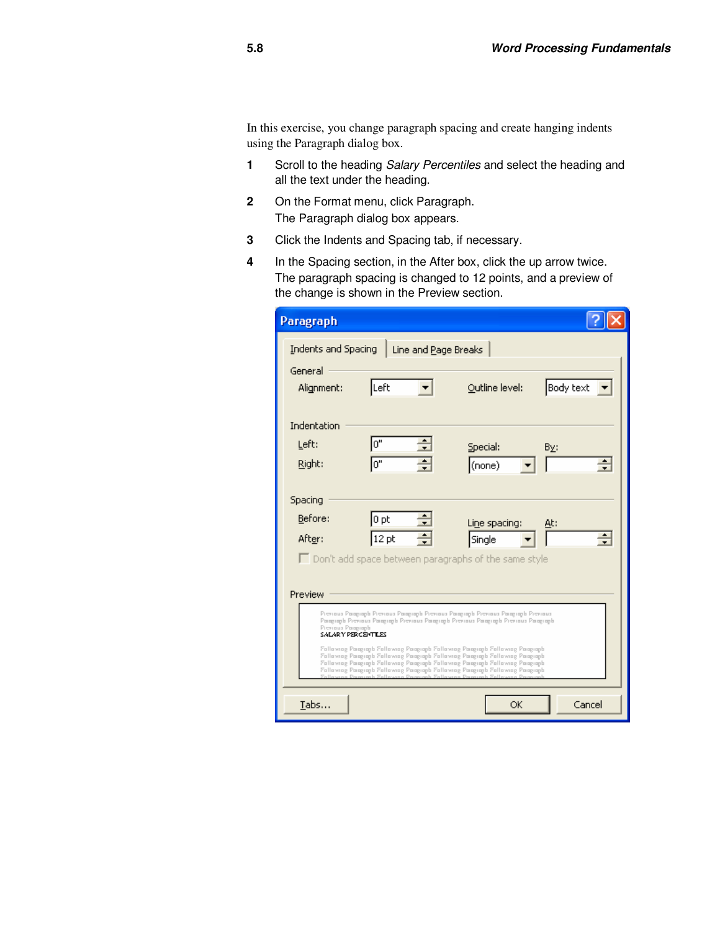In this exercise, you change paragraph spacing and create hanging indents using the Paragraph dialog box.

- **1** Scroll to the heading Salary Percentiles and select the heading and all the text under the heading.
- **2** On the Format menu, click Paragraph. The Paragraph dialog box appears.
- **3** Click the Indents and Spacing tab, if necessary.
- **4** In the Spacing section, in the After box, click the up arrow twice. The paragraph spacing is changed to 12 points, and a preview of the change is shown in the Preview section.

| <b>Paragraph</b>                                   |                                                                                                                                                                                                                                                                                                                                                                                                                                                                                                      |                |           |
|----------------------------------------------------|------------------------------------------------------------------------------------------------------------------------------------------------------------------------------------------------------------------------------------------------------------------------------------------------------------------------------------------------------------------------------------------------------------------------------------------------------------------------------------------------------|----------------|-----------|
| Indents and Spacing                                | Line and Page Breaks                                                                                                                                                                                                                                                                                                                                                                                                                                                                                 |                |           |
| General<br>Alignment:                              | Left                                                                                                                                                                                                                                                                                                                                                                                                                                                                                                 | Outline level: | Body text |
| Indentation                                        |                                                                                                                                                                                                                                                                                                                                                                                                                                                                                                      |                |           |
| Left:                                              | $0$ "                                                                                                                                                                                                                                                                                                                                                                                                                                                                                                | Special:       | By:       |
| Right:                                             | 0"                                                                                                                                                                                                                                                                                                                                                                                                                                                                                                   | (none)         |           |
| Spacing<br>Before:<br>After:                       | 0 <sub>pt</sub><br>$12$ pt                                                                                                                                                                                                                                                                                                                                                                                                                                                                           | Line spacing:  | At:<br>÷  |
|                                                    | $\Box$ Don't add space between paragraphs of the same style                                                                                                                                                                                                                                                                                                                                                                                                                                          | Single         |           |
| Preview<br>Previous Paragraph<br>SALARY PERCENTLES | Previous Palagraph Previous Palagraph Previous Palagraph Previous Palagraph Previous<br>Pangingh Picvinus Pangingh Picvinus Pangingh Picvinus Pangingh Picvinus Pangingh<br>Following Pangraph Following Pangraph Following Pangraph Following Pangraph<br>Following Pasgraph Following Pasgraph Following Pasgraph Following Pasgraph<br>Following Paignaph Following Paignaph Following Paignaph Following Paignaph<br>Following Pangingh Following Pangingh Following Pangingh Following Pangingh |                |           |
| Tabs                                               |                                                                                                                                                                                                                                                                                                                                                                                                                                                                                                      | OK             | Cancel    |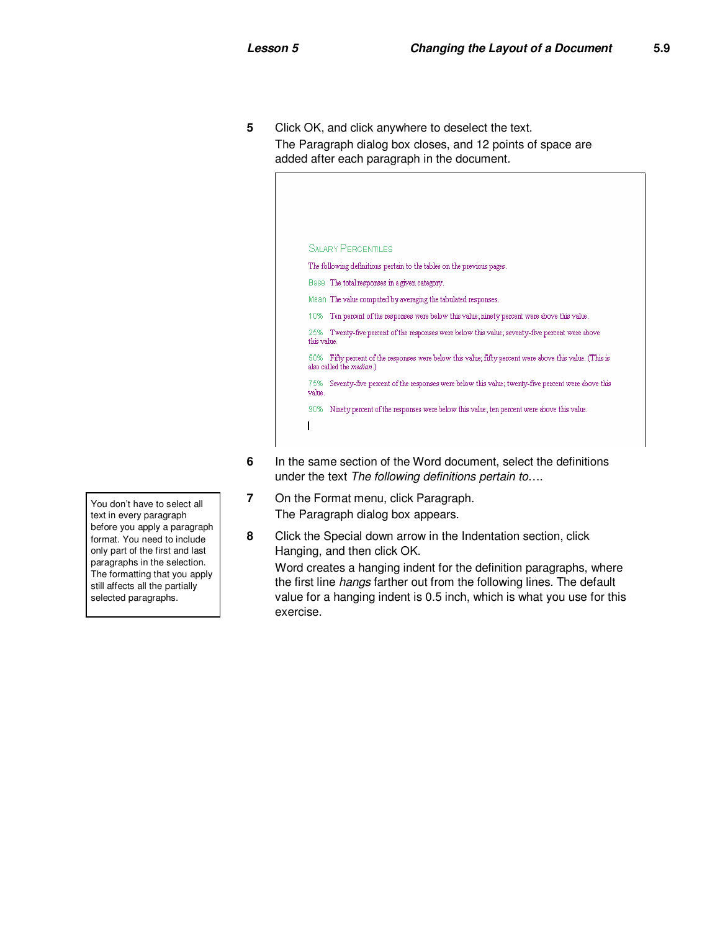**5** Click OK, and click anywhere to deselect the text. The Paragraph dialog box closes, and 12 points of space are added after each paragraph in the document.



- **6** In the same section of the Word document, select the definitions under the text The following definitions pertain to….
- **7** On the Format menu, click Paragraph. The Paragraph dialog box appears.
- **8** Click the Special down arrow in the Indentation section, click Hanging, and then click OK. Word creates a hanging indent for the definition paragraphs, where the first line hangs farther out from the following lines. The default value for a hanging indent is 0.5 inch, which is what you use for this exercise.

You don't have to select all text in every paragraph before you apply a paragraph format. You need to include only part of the first and last paragraphs in the selection. The formatting that you apply still affects all the partially selected paragraphs.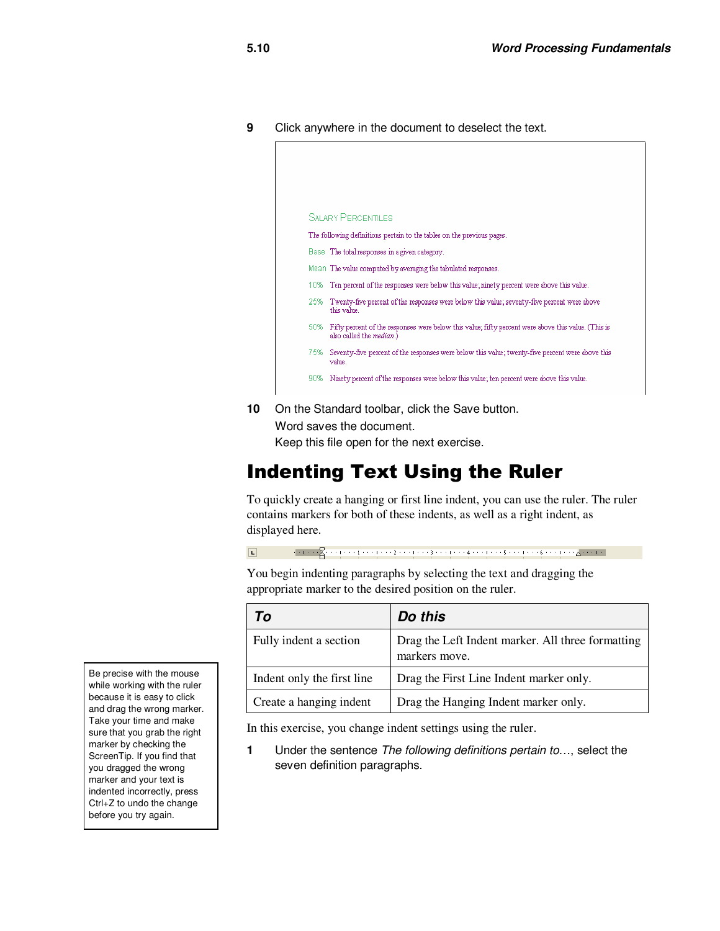**9** Click anywhere in the document to deselect the text.



**10** On the Standard toolbar, click the Save button.

Word saves the document. Keep this file open for the next exercise.

# Indenting Text Using the Ruler

To quickly create a hanging or first line indent, you can use the ruler. The ruler contains markers for both of these indents, as well as a right indent, as displayed here.

 $\overline{L}$ 

You begin indenting paragraphs by selecting the text and dragging the appropriate marker to the desired position on the ruler.

| Τo                         | Do this                                                            |
|----------------------------|--------------------------------------------------------------------|
| Fully indent a section     | Drag the Left Indent marker. All three formatting<br>markers move. |
| Indent only the first line | Drag the First Line Indent marker only.                            |
| Create a hanging indent    | Drag the Hanging Indent marker only.                               |

In this exercise, you change indent settings using the ruler.

**1** Under the sentence The following definitions pertain to…, select the seven definition paragraphs.

Be precise with the mouse while working with the ruler because it is easy to click and drag the wrong marker. Take your time and make sure that you grab the right marker by checking the ScreenTip. If you find that you dragged the wrong marker and your text is indented incorrectly, press Ctrl+Z to undo the change before you try again.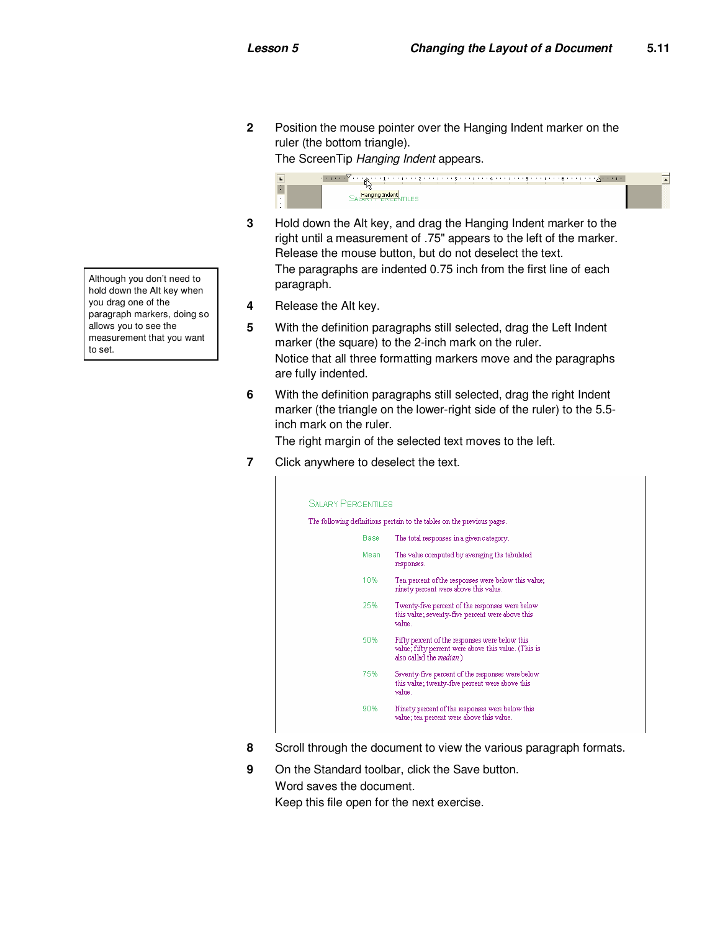**2** Position the mouse pointer over the Hanging Indent marker on the ruler (the bottom triangle).

The ScreenTip Hanging Indent appears.



- **3** Hold down the Alt key, and drag the Hanging Indent marker to the right until a measurement of .75" appears to the left of the marker. Release the mouse button, but do not deselect the text. The paragraphs are indented 0.75 inch from the first line of each paragraph.
- **4** Release the Alt key.
- **5** With the definition paragraphs still selected, drag the Left Indent marker (the square) to the 2-inch mark on the ruler. Notice that all three formatting markers move and the paragraphs are fully indented.
- **6** With the definition paragraphs still selected, drag the right Indent marker (the triangle on the lower-right side of the ruler) to the 5.5 inch mark on the ruler.

The right margin of the selected text moves to the left.

**7** Click anywhere to deselect the text.

| <b>SALARY PERCENTILES</b> |                                                                                                                                            |
|---------------------------|--------------------------------------------------------------------------------------------------------------------------------------------|
|                           | The following definitions pertain to the tables on the previous pages.                                                                     |
| Base                      | The total responses in a given category.                                                                                                   |
| Mean                      | The value computed by averaging the tabulated<br>responses.                                                                                |
| 10%                       | Ten percent of the responses were below this value;<br>ninety percent were above this value.                                               |
| 25%                       | Twenty-five percent of the responses were below<br>this value; seventy-five percent were above this<br>value.                              |
| 50%                       | Fifty percent of the responses were below this<br>value; fifty percent were above this value. (This is<br>also called the <i>median</i> .) |
| 75%                       | Seventy-five percent of the responses were below<br>this value; twenty-five percent were above this<br>value.                              |
| 90%                       | Ninety percent of the responses were below this<br>value; ten percent were above this value.                                               |

- **8** Scroll through the document to view the various paragraph formats.
- **9** On the Standard toolbar, click the Save button. Word saves the document. Keep this file open for the next exercise.

Although you don't need to hold down the Alt key when you drag one of the paragraph markers, doing so allows you to see the measurement that you want to set.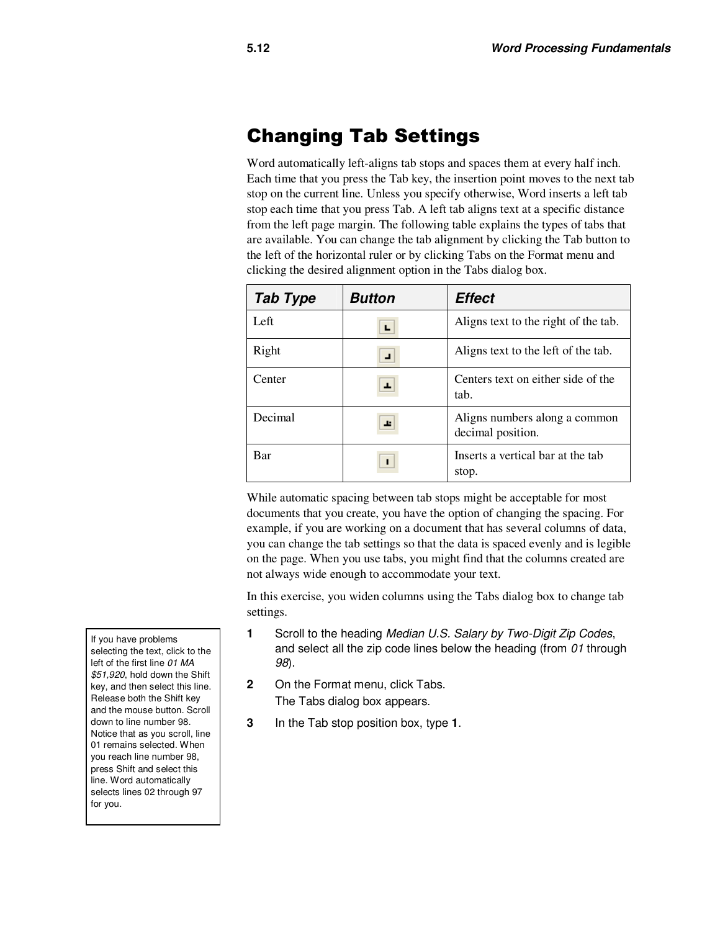# Changing Tab Settings

Word automatically left-aligns tab stops and spaces them at every half inch. Each time that you press the Tab key, the insertion point moves to the next tab stop on the current line. Unless you specify otherwise, Word inserts a left tab stop each time that you press Tab. A left tab aligns text at a specific distance from the left page margin. The following table explains the types of tabs that are available. You can change the tab alignment by clicking the Tab button to the left of the horizontal ruler or by clicking Tabs on the Format menu and clicking the desired alignment option in the Tabs dialog box.

| Tab Type | <b>Button</b> | <b>Effect</b>                                      |
|----------|---------------|----------------------------------------------------|
| Left.    |               | Aligns text to the right of the tab.               |
| Right    | л             | Aligns text to the left of the tab.                |
| Center   |               | Centers text on either side of the<br>tab.         |
| Decimal  | Ŀ             | Aligns numbers along a common<br>decimal position. |
| Bar      |               | Inserts a vertical bar at the tab<br>stop.         |

While automatic spacing between tab stops might be acceptable for most documents that you create, you have the option of changing the spacing. For example, if you are working on a document that has several columns of data, you can change the tab settings so that the data is spaced evenly and is legible on the page. When you use tabs, you might find that the columns created are not always wide enough to accommodate your text.

In this exercise, you widen columns using the Tabs dialog box to change tab settings.

- **1** Scroll to the heading Median U.S. Salary by Two-Digit Zip Codes, and select all the zip code lines below the heading (from  $O<sub>1</sub>$  through 98).
- **2** On the Format menu, click Tabs. The Tabs dialog box appears.
- **3** In the Tab stop position box, type **1**.

If you have problems selecting the text, click to the left of the first line 01 MA \$51,920, hold down the Shift key, and then select this line. Release both the Shift key and the mouse button. Scroll down to line number 98. Notice that as you scroll, line 01 remains selected. When you reach line number 98, press Shift and select this line. Word automatically selects lines 02 through 97 for you.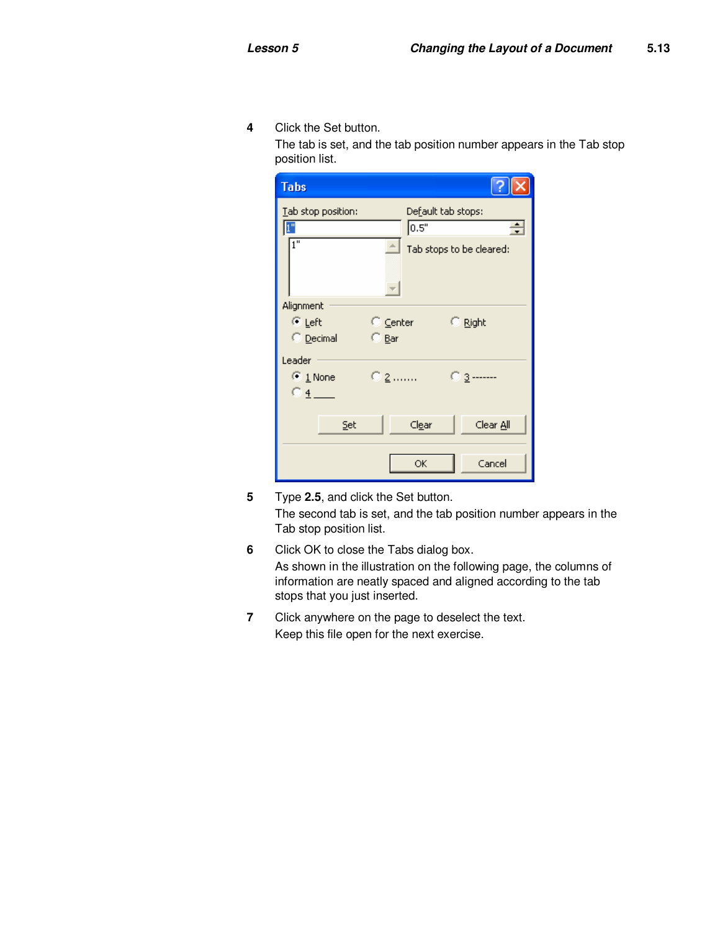**4** Click the Set button.

The tab is set, and the tab position number appears in the Tab stop position list.

| <b>Tabs</b>              |                    |                            |                          |
|--------------------------|--------------------|----------------------------|--------------------------|
| Tab stop position:<br>1" |                    | Default tab stops:<br>0.5" |                          |
| $1^{\overline{0}}$       |                    |                            | Tab stops to be cleared: |
| Alignment                |                    |                            |                          |
| $C$ Left                 | $\subseteq$ Center |                            | $\subseteq$ Right        |
| © Decimal                | © <u>B</u> ar      |                            |                          |
| Leader                   |                    |                            |                          |
| $\odot$ 1 None<br>0.4    | $\odot$ 2          |                            | േള -------               |
| Set                      |                    | Clear                      | Clear All                |
|                          |                    | ОК                         | Cancel                   |

- **5** Type **2.5**, and click the Set button. The second tab is set, and the tab position number appears in the Tab stop position list.
- **6** Click OK to close the Tabs dialog box. As shown in the illustration on the following page, the columns of information are neatly spaced and aligned according to the tab stops that you just inserted.
- **7** Click anywhere on the page to deselect the text. Keep this file open for the next exercise.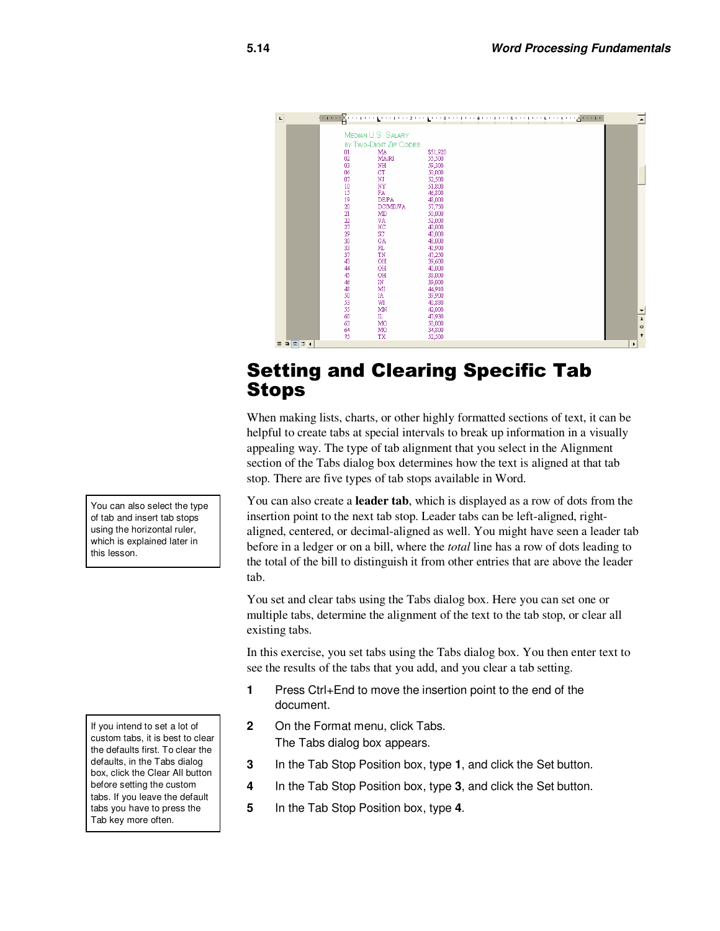

### Setting and Clearing Specific Tab **Stops**

When making lists, charts, or other highly formatted sections of text, it can be helpful to create tabs at special intervals to break up information in a visually appealing way. The type of tab alignment that you select in the Alignment section of the Tabs dialog box determines how the text is aligned at that tab stop. There are five types of tab stops available in Word.

You can also create a **leader tab**, which is displayed as a row of dots from the insertion point to the next tab stop. Leader tabs can be left-aligned, rightaligned, centered, or decimal-aligned as well. You might have seen a leader tab before in a ledger or on a bill, where the *total* line has a row of dots leading to the total of the bill to distinguish it from other entries that are above the leader tab.

You set and clear tabs using the Tabs dialog box. Here you can set one or multiple tabs, determine the alignment of the text to the tab stop, or clear all existing tabs.

In this exercise, you set tabs using the Tabs dialog box. You then enter text to see the results of the tabs that you add, and you clear a tab setting.

- **1** Press Ctrl+End to move the insertion point to the end of the document.
- **2** On the Format menu, click Tabs. The Tabs dialog box appears.
- **3** In the Tab Stop Position box, type **1**, and click the Set button.
- **4** In the Tab Stop Position box, type **3**, and click the Set button.
- **5** In the Tab Stop Position box, type **4**.

You can also select the type of tab and insert tab stops using the horizontal ruler, which is explained later in this lesson.

If you intend to set a lot of custom tabs, it is best to clear the defaults first. To clear the defaults, in the Tabs dialog box, click the Clear All button before setting the custom tabs. If you leave the default tabs you have to press the Tab key more often.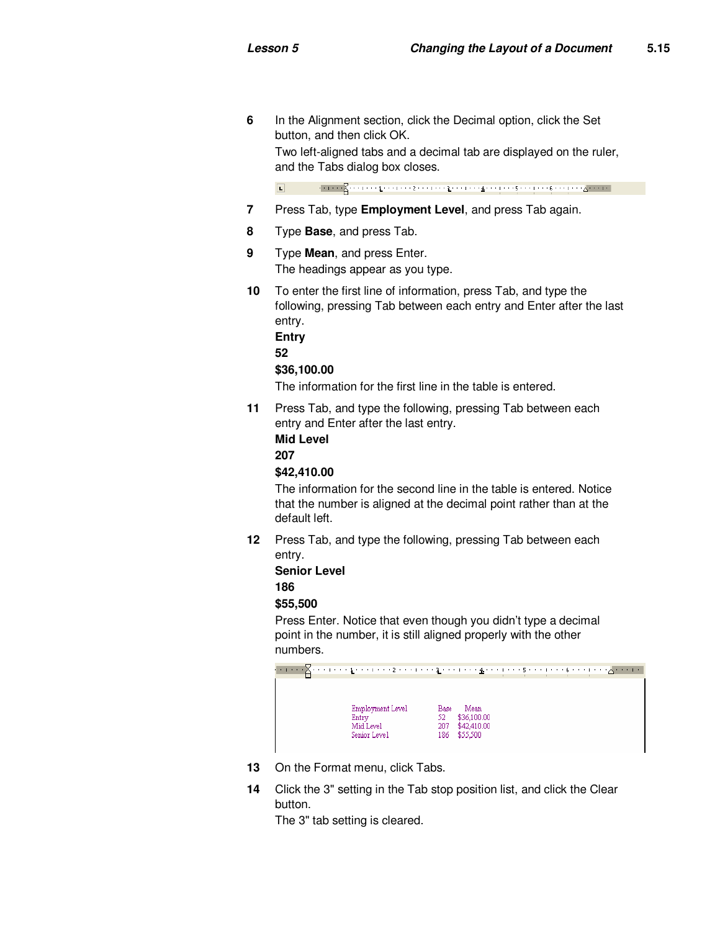**6** In the Alignment section, click the Decimal option, click the Set button, and then click OK.

Two left-aligned tabs and a decimal tab are displayed on the ruler, and the Tabs dialog box closes.

 $\Box$ 

- **7** Press Tab, type **Employment Level**, and press Tab again.
- **8** Type **Base**, and press Tab.
- **9** Type **Mean**, and press Enter. The headings appear as you type.
- **10** To enter the first line of information, press Tab, and type the following, pressing Tab between each entry and Enter after the last entry.

**Entry**

**52** 

#### **\$36,100.00**

The information for the first line in the table is entered.

**11** Press Tab, and type the following, pressing Tab between each entry and Enter after the last entry.

**Mid Level**

**207** 

#### **\$42,410.00**

The information for the second line in the table is entered. Notice that the number is aligned at the decimal point rather than at the default left.

**12** Press Tab, and type the following, pressing Tab between each entry.

**Senior Level**

#### **186**

#### **\$55,500**

Press Enter. Notice that even though you didn't type a decimal point in the number, it is still aligned properly with the other numbers.



- 13 On the Format menu, click Tabs.
- **14** Click the 3" setting in the Tab stop position list, and click the Clear button.

The 3" tab setting is cleared.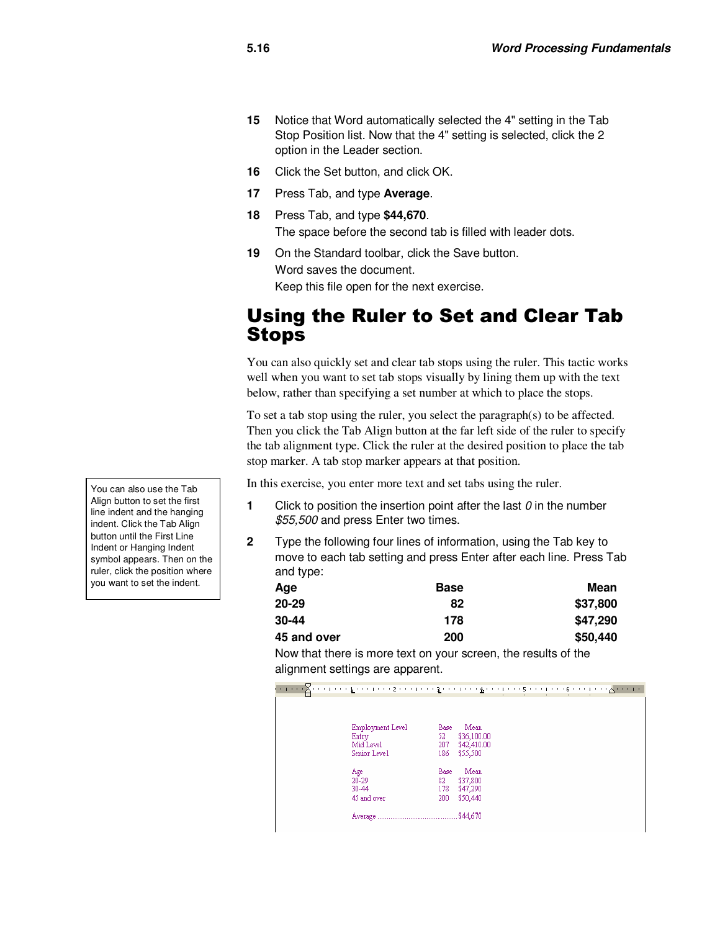- **15** Notice that Word automatically selected the 4" setting in the Tab Stop Position list. Now that the 4" setting is selected, click the 2 option in the Leader section.
- **16** Click the Set button, and click OK.
- **17** Press Tab, and type **Average**.
- **18** Press Tab, and type **\$44,670**. The space before the second tab is filled with leader dots.
- **19** On the Standard toolbar, click the Save button. Word saves the document. Keep this file open for the next exercise.

### Using the Ruler to Set and Clear Tab **Stops**

You can also quickly set and clear tab stops using the ruler. This tactic works well when you want to set tab stops visually by lining them up with the text below, rather than specifying a set number at which to place the stops.

To set a tab stop using the ruler, you select the paragraph(s) to be affected. Then you click the Tab Align button at the far left side of the ruler to specify the tab alignment type. Click the ruler at the desired position to place the tab stop marker. A tab stop marker appears at that position.

In this exercise, you enter more text and set tabs using the ruler.

- **1** Click to position the insertion point after the last  $\theta$  in the number \$55,500 and press Enter two times.
- **2** Type the following four lines of information, using the Tab key to move to each tab setting and press Enter after each line. Press Tab and type:

| Age         | <b>Base</b> | Mean     |
|-------------|-------------|----------|
| 20-29       | 82          | \$37,800 |
| $30-44$     | 178         | \$47.290 |
| 45 and over | 200         | \$50,440 |

Now that there is more text on your screen, the results of the alignment settings are apparent.



You can also use the Tab Align button to set the first line indent and the hanging indent. Click the Tab Align button until the First Line Indent or Hanging Indent symbol appears. Then on the ruler, click the position where you want to set the indent.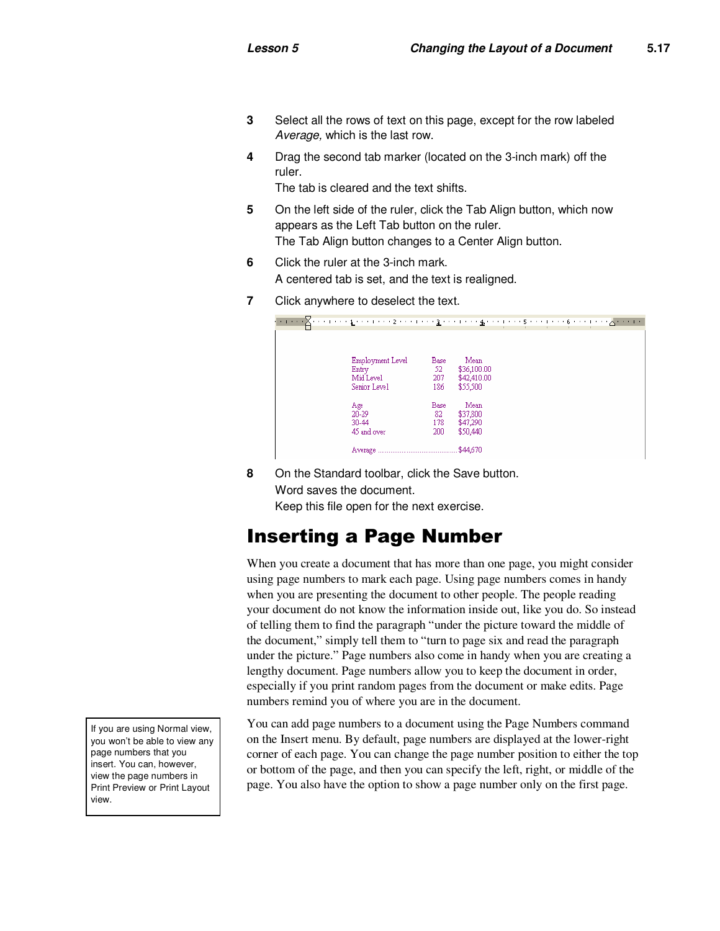- **3** Select all the rows of text on this page, except for the row labeled Average, which is the last row.
- **4** Drag the second tab marker (located on the 3-inch mark) off the ruler.

The tab is cleared and the text shifts.

- **5** On the left side of the ruler, click the Tab Align button, which now appears as the Left Tab button on the ruler. The Tab Align button changes to a Center Align button.
- **6** Click the ruler at the 3-inch mark. A centered tab is set, and the text is realigned.
- **7** Click anywhere to deselect the text.

|             | Employment Level | Base | Mean        |  |  |  |
|-------------|------------------|------|-------------|--|--|--|
| Entry       |                  | -52  | \$36,100.00 |  |  |  |
| Mid Level   |                  | 207  | \$42,410.00 |  |  |  |
|             | Senior Level     | 186  | \$55,500    |  |  |  |
| Age         |                  | Base | Mean        |  |  |  |
| 20-29       |                  | 82   | \$37,800    |  |  |  |
| 30-44       |                  | 178  | \$47,290    |  |  |  |
| 45 and over |                  | 200  | \$50,440    |  |  |  |
|             |                  |      | \$44,670    |  |  |  |

**8** On the Standard toolbar, click the Save button. Word saves the document. Keep this file open for the next exercise.

# Inserting a Page Number

When you create a document that has more than one page, you might consider using page numbers to mark each page. Using page numbers comes in handy when you are presenting the document to other people. The people reading your document do not know the information inside out, like you do. So instead of telling them to find the paragraph "under the picture toward the middle of the document," simply tell them to "turn to page six and read the paragraph under the picture." Page numbers also come in handy when you are creating a lengthy document. Page numbers allow you to keep the document in order, especially if you print random pages from the document or make edits. Page numbers remind you of where you are in the document.

You can add page numbers to a document using the Page Numbers command on the Insert menu. By default, page numbers are displayed at the lower-right corner of each page. You can change the page number position to either the top or bottom of the page, and then you can specify the left, right, or middle of the page. You also have the option to show a page number only on the first page.

If you are using Normal view, you won't be able to view any page numbers that you insert. You can, however, view the page numbers in Print Preview or Print Layout view.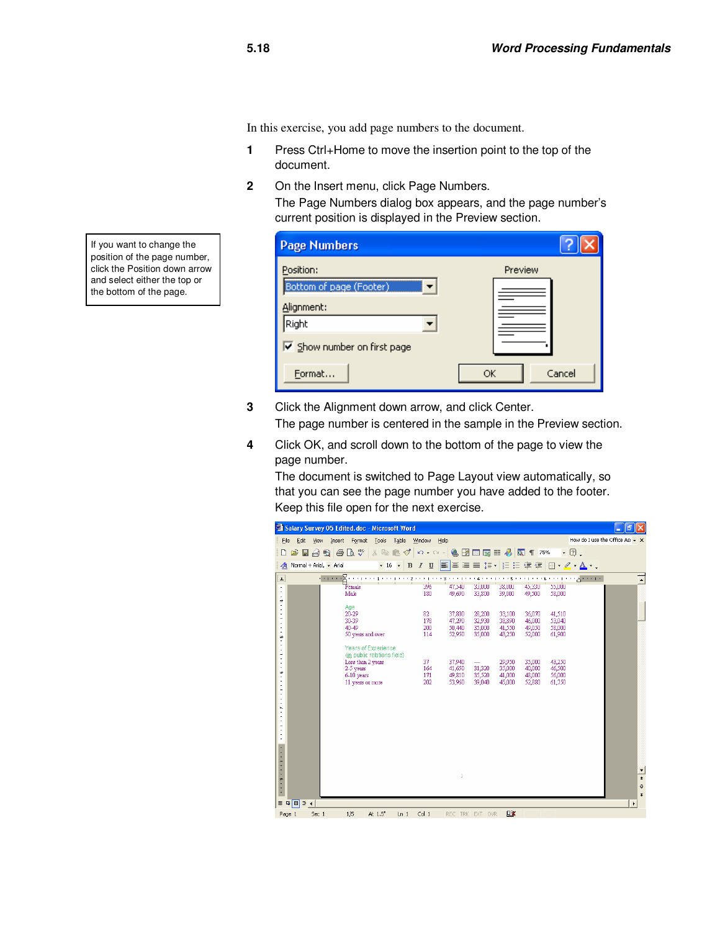In this exercise, you add page numbers to the document.

- **1** Press Ctrl+Home to move the insertion point to the top of the document.
- **2** On the Insert menu, click Page Numbers.

The Page Numbers dialog box appears, and the page number's current position is displayed in the Preview section.

| <b>Page Numbers</b>                                              |              |
|------------------------------------------------------------------|--------------|
| Position:<br>Bottom of page (Footer)<br>▼<br>Alignment:<br>Right | Preview      |
| Show number on first page<br>Format                              | Cancel<br>ОK |

- **3** Click the Alignment down arrow, and click Center. The page number is centered in the sample in the Preview section.
- **4** Click OK, and scroll down to the bottom of the page to view the page number.

The document is switched to Page Layout view automatically, so that you can see the page number you have added to the footer. Keep this file open for the next exercise.

|                     |                         | Salary Survey 05 Edited.doc - Microsoft Word |                                                  |         |                 |                    |                                                                                                                                                                                                                                                                                                                                                                        |                  |                  |                  |                  | F                                          |
|---------------------|-------------------------|----------------------------------------------|--------------------------------------------------|---------|-----------------|--------------------|------------------------------------------------------------------------------------------------------------------------------------------------------------------------------------------------------------------------------------------------------------------------------------------------------------------------------------------------------------------------|------------------|------------------|------------------|------------------|--------------------------------------------|
| File                | Edit                    | View Insert Format                           |                                                  |         |                 | Tools Table Window | Help                                                                                                                                                                                                                                                                                                                                                                   |                  |                  |                  |                  | How do I use the Office As: $\star$ X      |
| D                   | Ê                       | $B$ and $B$ b. $\mathbb{R}$                  |                                                  |         |                 |                    | <b>↓ 4 8 3 メ わ - ~ - ↓ 毎 田 田 园 目 あ   エ 15 *</b>                                                                                                                                                                                                                                                                                                                        |                  |                  |                  | $-2$ .           |                                            |
| A                   |                         | Normal + Arial, + Arial                      |                                                  |         |                 |                    | $\bullet$ 16 $\bullet$ B $I$ U $\boxed{\equiv}$ $\equiv$ $\equiv$ $\equiv$ $\left  \equiv \right $ $\equiv$ $\equiv$ $\frac{1}{2}$ $\equiv$ $\frac{1}{2}$ $\equiv$ $\frac{1}{2}$ $\equiv$ $\frac{1}{2}$ $\equiv$ $\frac{1}{2}$ $\equiv$ $\frac{1}{2}$ $\equiv$ $\frac{1}{2}$ $\equiv$ $\frac{1}{2}$ $\equiv$ $\frac{1}{2}$ $\equiv$ $\frac{1}{2}$ $\equiv$ $\frac{1}{$ |                  |                  |                  |                  |                                            |
| Ŧ                   |                         |                                              |                                                  |         |                 |                    |                                                                                                                                                                                                                                                                                                                                                                        |                  |                  |                  |                  |                                            |
| ٠                   |                         |                                              | Female                                           |         |                 | 396                | 47,540                                                                                                                                                                                                                                                                                                                                                                 | 33,000           | 38,000           | 45,330           | <b>55,000</b>    |                                            |
| Ì<br>4              |                         |                                              | Male                                             |         |                 | 180                | 49,690                                                                                                                                                                                                                                                                                                                                                                 | 33,800           | 39,000           | 49,500           | 58,000           |                                            |
| ä,                  |                         |                                              | Age                                              |         |                 |                    |                                                                                                                                                                                                                                                                                                                                                                        |                  |                  |                  |                  |                                            |
| ×<br>$\overline{a}$ |                         |                                              | 20-29<br>30-39                                   |         |                 | 82<br>178          | 37,800<br>47,290                                                                                                                                                                                                                                                                                                                                                       | 28,200<br>32,930 | 33,100<br>38,890 | 36,070<br>46,000 | 41,510<br>53,040 |                                            |
| ×,                  |                         |                                              | 40-49                                            |         |                 | 200                | 50,440                                                                                                                                                                                                                                                                                                                                                                 | 35,000           | 41,550           | 49,050           | 58,000           |                                            |
| n,                  |                         |                                              | 50 years and over                                |         |                 | 114                | 52,950                                                                                                                                                                                                                                                                                                                                                                 | 35,000           | 43,250           | 52,000           | 61,900           |                                            |
| $\overline{a}$      |                         |                                              | Years of Experience                              |         |                 |                    |                                                                                                                                                                                                                                                                                                                                                                        |                  |                  |                  |                  |                                            |
| J.                  |                         |                                              | (in public relations field)<br>Less than 2 years |         |                 | 37                 | 37,940                                                                                                                                                                                                                                                                                                                                                                 | -                | 29,950           | 35,000           | 43,250           |                                            |
| c                   |                         |                                              | 2-5 years<br>6-10 years                          |         |                 | 164<br>171         | 41,650<br>49,810                                                                                                                                                                                                                                                                                                                                                       | 31,320<br>35,520 | 35,000<br>41,000 | 40,000<br>48,000 | 46,500<br>56,000 |                                            |
|                     |                         |                                              | 11 years or more                                 |         |                 | 202                | 53,960                                                                                                                                                                                                                                                                                                                                                                 | 39,040           | 45,000           | 52,880           | 61,750           |                                            |
| ٠                   |                         |                                              |                                                  |         |                 |                    |                                                                                                                                                                                                                                                                                                                                                                        |                  |                  |                  |                  |                                            |
| ٠<br>b.             |                         |                                              |                                                  |         |                 |                    |                                                                                                                                                                                                                                                                                                                                                                        |                  |                  |                  |                  |                                            |
| ä,<br>ä,            |                         |                                              |                                                  |         |                 |                    |                                                                                                                                                                                                                                                                                                                                                                        |                  |                  |                  |                  |                                            |
| ۰                   |                         |                                              |                                                  |         |                 |                    |                                                                                                                                                                                                                                                                                                                                                                        |                  |                  |                  |                  |                                            |
| ×,                  |                         |                                              |                                                  |         |                 |                    |                                                                                                                                                                                                                                                                                                                                                                        |                  |                  |                  |                  |                                            |
|                     |                         |                                              |                                                  |         |                 |                    |                                                                                                                                                                                                                                                                                                                                                                        |                  |                  |                  |                  |                                            |
|                     |                         |                                              |                                                  |         |                 |                    |                                                                                                                                                                                                                                                                                                                                                                        |                  |                  |                  |                  |                                            |
|                     |                         |                                              |                                                  |         |                 |                    |                                                                                                                                                                                                                                                                                                                                                                        |                  |                  |                  |                  |                                            |
|                     |                         |                                              |                                                  |         |                 |                    | 1                                                                                                                                                                                                                                                                                                                                                                      |                  |                  |                  |                  | $\frac{1}{1}$                              |
|                     |                         |                                              |                                                  |         |                 |                    |                                                                                                                                                                                                                                                                                                                                                                        |                  |                  |                  |                  | $\ddot{\bullet}$                           |
|                     | $\equiv$ 6 $\equiv$ 3 4 |                                              |                                                  |         |                 |                    |                                                                                                                                                                                                                                                                                                                                                                        |                  |                  |                  |                  | $\overline{\ast}$<br>$\blacktriangleright$ |
|                     | Page 1                  | Sec 1                                        | 1/5                                              | At 1.5" | Ln <sub>1</sub> | Col <sub>1</sub>   |                                                                                                                                                                                                                                                                                                                                                                        | REC TRK EXT OVR  | <b>DX</b>        |                  |                  |                                            |

If you want to change the position of the page number, click the Position down arrow and select either the top or the bottom of the page.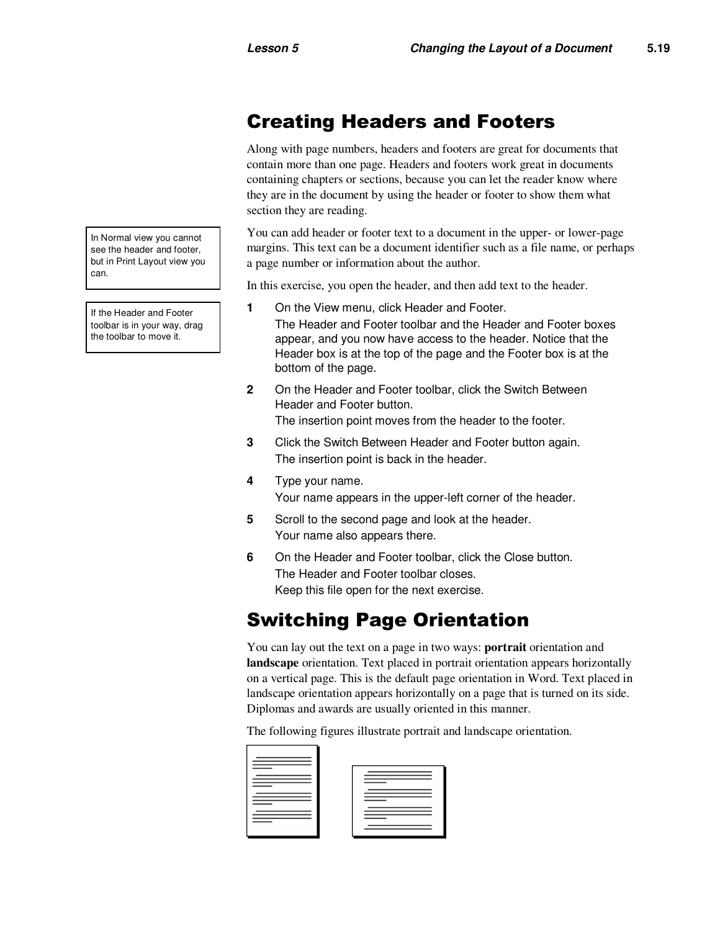# Creating Headers and Footers

Along with page numbers, headers and footers are great for documents that contain more than one page. Headers and footers work great in documents containing chapters or sections, because you can let the reader know where they are in the document by using the header or footer to show them what section they are reading.

You can add header or footer text to a document in the upper- or lower-page margins. This text can be a document identifier such as a file name, or perhaps a page number or information about the author.

In this exercise, you open the header, and then add text to the header.

- **1** On the View menu, click Header and Footer. The Header and Footer toolbar and the Header and Footer boxes appear, and you now have access to the header. Notice that the Header box is at the top of the page and the Footer box is at the bottom of the page.
- **2** On the Header and Footer toolbar, click the Switch Between Header and Footer button. The insertion point moves from the header to the footer.
- **3** Click the Switch Between Header and Footer button again. The insertion point is back in the header.
- **4** Type your name. Your name appears in the upper-left corner of the header.
- **5** Scroll to the second page and look at the header. Your name also appears there.
- **6** On the Header and Footer toolbar, click the Close button. The Header and Footer toolbar closes. Keep this file open for the next exercise.

# Switching Page Orientation

You can lay out the text on a page in two ways: **portrait** orientation and **landscape** orientation. Text placed in portrait orientation appears horizontally on a vertical page. This is the default page orientation in Word. Text placed in landscape orientation appears horizontally on a page that is turned on its side. Diplomas and awards are usually oriented in this manner.

The following figures illustrate portrait and landscape orientation.

| the control of the control of the control of the control of the control of the control of the control of the control of the control of the control of the control of the control of the control of the control of the control                                                            |  |
|------------------------------------------------------------------------------------------------------------------------------------------------------------------------------------------------------------------------------------------------------------------------------------------|--|
| _____                                                                                                                                                                                                                                                                                    |  |
| the control of the control of the control of the control of the control of the control of the control of the control of the control of the control of the control of the control of the control of the control of the control                                                            |  |
| the control of the control of the control of the control of the control of the control of the control of the control of the control of the control of the control of the control of the control of the control of the control<br>the contract of the contract of the contract of<br>____ |  |
| the contract of the contract of the contract of the contract of the contract of the contract of                                                                                                                                                                                          |  |

In Normal view you cannot see the header and footer, but in Print Layout view you can.

If the Header and Footer toolbar is in your way, drag the toolbar to move it.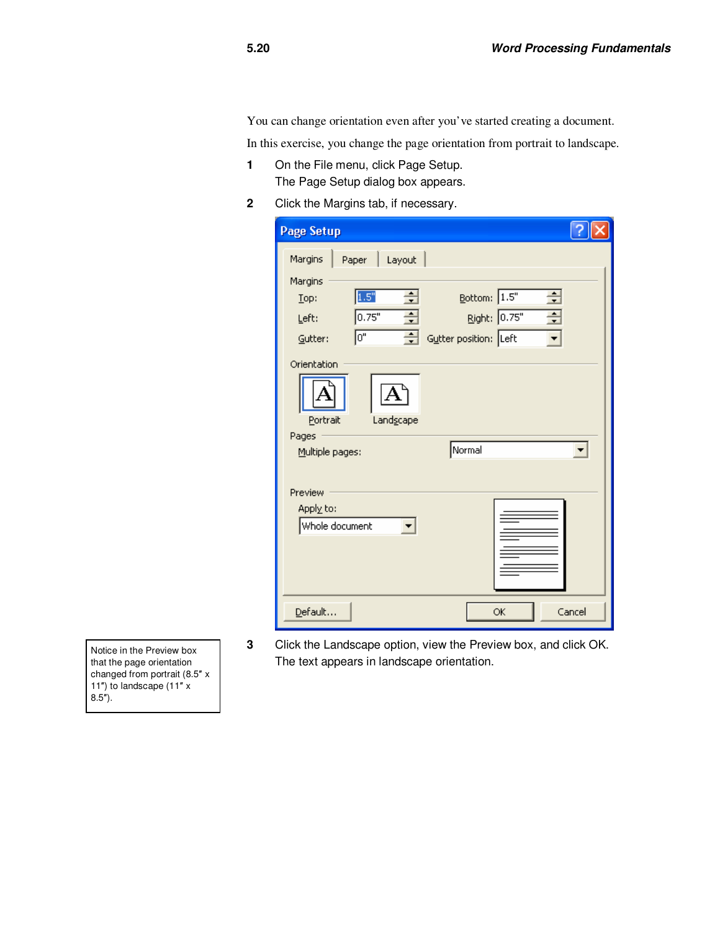You can change orientation even after you've started creating a document.

In this exercise, you change the page orientation from portrait to landscape.

- **1** On the File menu, click Page Setup. The Page Setup dialog box appears.
- **2** Click the Margins tab, if necessary.

| <b>Page Setup</b>                                             |                                                                                                     |                                                 |
|---------------------------------------------------------------|-----------------------------------------------------------------------------------------------------|-------------------------------------------------|
| Margins<br>Margins<br>Top:<br>Left:<br>Gutter:<br>Orientation | Layout<br>Paper<br>1.5"<br>$\div$<br>Bottom: 1.5"<br>÷<br>0.75"<br>う<br>o"<br>Gutter position: Left | $\div$<br>$\frac{1}{\tau}$<br>Right: 0.75"<br>٠ |
| Portrait<br>Pages<br>Multiple pages:<br>Preview               | Landscape<br>Normal                                                                                 |                                                 |
| Apply to:                                                     | Whole document                                                                                      |                                                 |
| Default                                                       |                                                                                                     | OK<br>Cancel                                    |

- 
- **3** Click the Landscape option, view the Preview box, and click OK. The text appears in landscape orientation.

Notice in the Preview box that the page orientation changed from portrait (8.5″ x 11″) to landscape (11″ x 8.5″).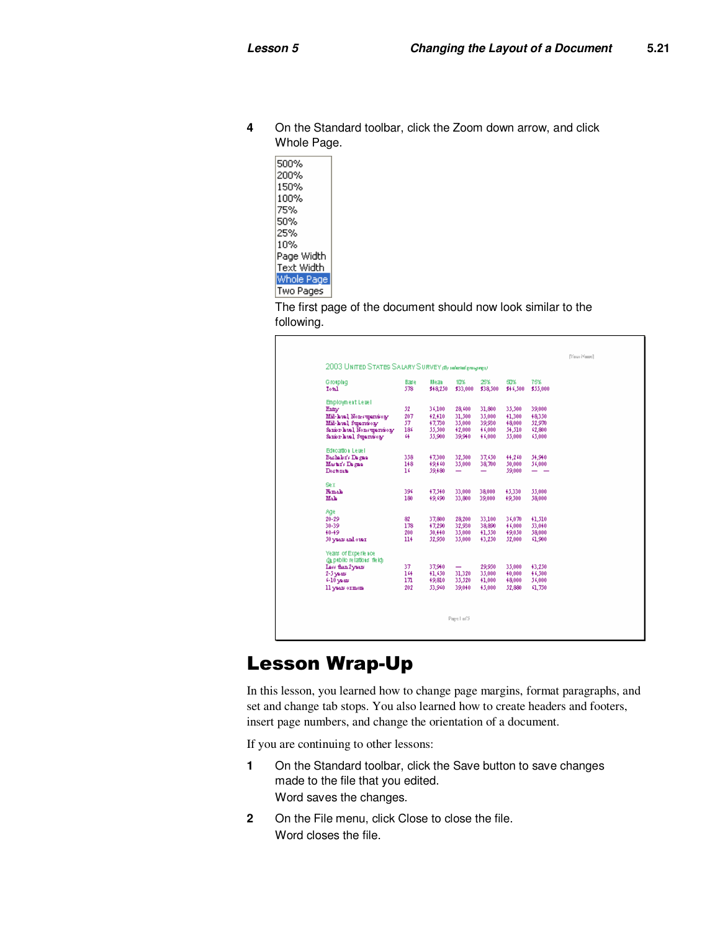٦

**4** On the Standard toolbar, click the Zoom down arrow, and click Whole Page.

| 500%       |
|------------|
| 200%       |
| 150%       |
| 100%       |
| 75%        |
| 50%        |
| 25%        |
| 10%        |
| Page Width |
| Text Width |
| Whole Page |
| Two Pages  |
|            |

The first page of the document should now look similar to the following.

| Groupling<br>Total                               | Base<br>578 | Mean<br>\$48,250 | 10%<br>\$33,000  | 25%<br>\$38,500          | SD%<br>\$44,500  | 75%<br>\$55,000  |  |
|--------------------------------------------------|-------------|------------------|------------------|--------------------------|------------------|------------------|--|
| <b>Employment Lebel</b>                          |             |                  |                  |                          |                  |                  |  |
| Entry                                            | 52          | 34,100           | 28,400           | 31,800                   | 35,500           | 39,000           |  |
| Mid-hand Non-supervisory                         | 207         | 42,410           | 31,500           | 35,000                   | 41,300           | 48,350           |  |
| Mil-hual Supervicey                              | 57.         | 47.730           | 35,000           | 39.930                   | 48,000           | 52.970           |  |
| Samor-laun], Nonsumarusons                       | 186         | 55,500           | 42,000           | 44,000                   | 54,510           | 42,800           |  |
| Sambr-hual Suparukony                            | u           | 55,900           | 39,940           | 44,000                   | 55,000           | 45,000           |  |
| <b>Education Legel</b>                           |             |                  |                  |                          |                  |                  |  |
| Bachalor's Dagma                                 | 358         | 47,300           | 32,500           | 37,450                   | 44,240           | 54,940           |  |
| Master's Dagma                                   | 148         | 49,440           | 35,000           | 38,700                   | 50,000           | 54,000           |  |
| Degionate                                        | 16.         | 59,480           |                  | $\overline{\phantom{0}}$ | 59,000           |                  |  |
| Sex.                                             |             |                  |                  |                          |                  |                  |  |
| Famala                                           | 39£         | 47,540           | 33,000           | 38,000                   | 45,330           | 55,000           |  |
| Mala                                             | 180         | 49.490           | 33,800           | 39,000                   | 49,500           | 58,000           |  |
| Age                                              |             |                  |                  |                          |                  |                  |  |
| $20 - 29$                                        | 82          | 37,800           | 28,200           | 33,100                   | 34,070           | 41,510           |  |
| 30-39<br>40-49                                   | 178<br>200  | 47,290<br>50,440 | 32,930<br>35,000 | 38,890<br>41,550         | 44,000<br>49,050 | 53,040<br>58,000 |  |
| 50 years and over                                | 114         | 52,950           | 35,000           | 43,250                   | 52,000           | 41,900           |  |
|                                                  |             |                  |                  |                          |                  |                  |  |
| Years of Experience<br>dupublic relations rieids |             |                  |                  |                          |                  |                  |  |
| Lass than Pyrans                                 | 37.         | 37,940           | -                | 29,950                   | 35,000           | 43,250           |  |
| 2-5 years                                        | 164         | 41,450           | 31,320           | 35,000                   | 40,000           | 44,500           |  |
| 6-10 years                                       | 171         | 49,810           | 35,520           | 41,000                   | 48,000           | 54,000           |  |
| Il year ormon                                    | 202         | 53,940           | 39,040           | 45,000                   | 52,880           | 41,750           |  |
|                                                  |             |                  |                  |                          |                  |                  |  |

# Lesson Wrap-Up

In this lesson, you learned how to change page margins, format paragraphs, and set and change tab stops. You also learned how to create headers and footers, insert page numbers, and change the orientation of a document.

If you are continuing to other lessons:

- **1** On the Standard toolbar, click the Save button to save changes made to the file that you edited. Word saves the changes.
- **2** On the File menu, click Close to close the file. Word closes the file.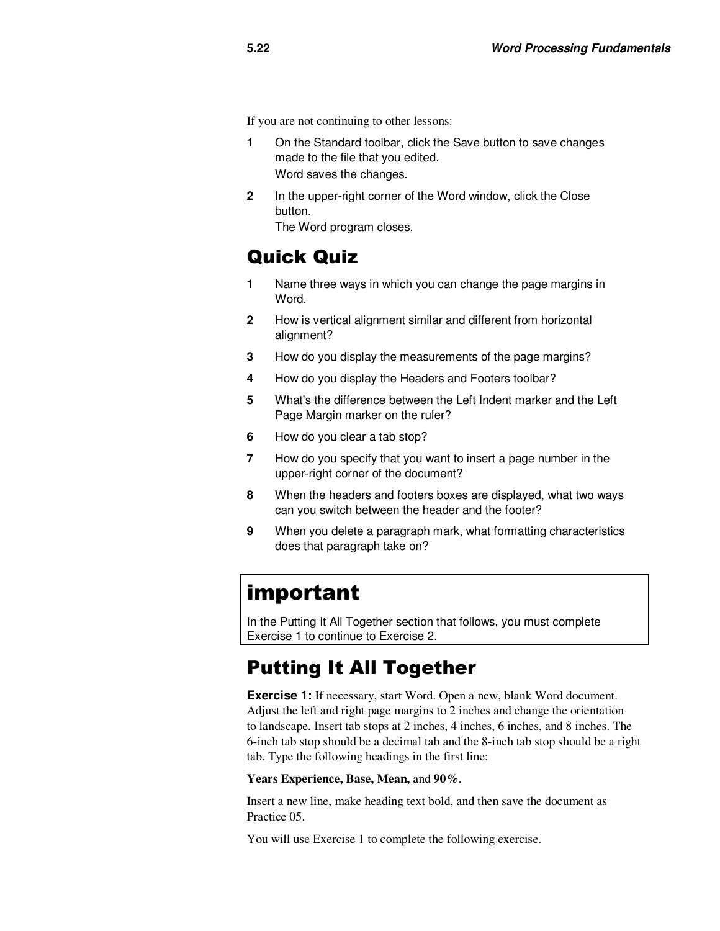If you are not continuing to other lessons:

- **1** On the Standard toolbar, click the Save button to save changes made to the file that you edited. Word saves the changes.
- **2** In the upper-right corner of the Word window, click the Close button.

The Word program closes.

## Quick Quiz

- **1** Name three ways in which you can change the page margins in Word.
- **2** How is vertical alignment similar and different from horizontal alignment?
- **3** How do you display the measurements of the page margins?
- **4** How do you display the Headers and Footers toolbar?
- **5** What's the difference between the Left Indent marker and the Left Page Margin marker on the ruler?
- **6** How do you clear a tab stop?
- **7** How do you specify that you want to insert a page number in the upper-right corner of the document?
- **8** When the headers and footers boxes are displayed, what two ways can you switch between the header and the footer?
- **9** When you delete a paragraph mark, what formatting characteristics does that paragraph take on?

### important

In the Putting It All Together section that follows, you must complete Exercise 1 to continue to Exercise 2.

### Putting It All Together

**Exercise 1:** If necessary, start Word. Open a new, blank Word document. Adjust the left and right page margins to 2 inches and change the orientation to landscape. Insert tab stops at 2 inches, 4 inches, 6 inches, and 8 inches. The 6-inch tab stop should be a decimal tab and the 8-inch tab stop should be a right tab. Type the following headings in the first line:

#### **Years Experience, Base, Mean,** and **90%**.

Insert a new line, make heading text bold, and then save the document as Practice 05.

You will use Exercise 1 to complete the following exercise.